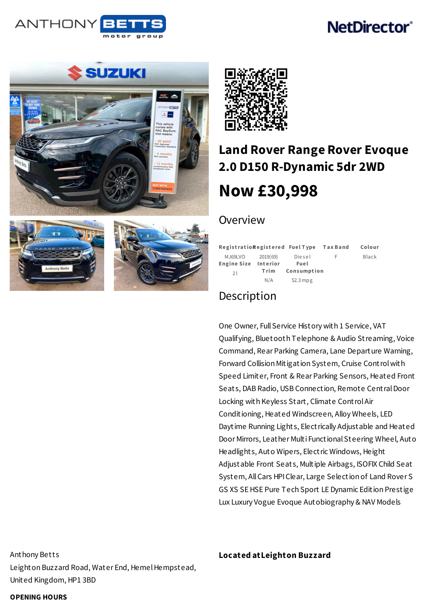

# **NetDirector®**





# **Land Rover Range Rover Evoque 2.0 D150 [R-Dynamic](/used-hybrid-electric-cars/pdf/) 5dr 2WD Now [£30,998](/used-hybrid-electric-cars/pdf/)**

### Overview

|                    |          | RegistratioRegistered FuelType TaxBand |   | Colour |
|--------------------|----------|----------------------------------------|---|--------|
| MJ69LVO            | 2019(69) | Diesel                                 | F | Black  |
| <b>Engine Size</b> | Interior | Fuel                                   |   |        |
| 21                 | Trim     | Consumption                            |   |        |
|                    | N/A      | $52.3$ mpg                             |   |        |

## Description

One Owner, Full Service History with 1 Service, VAT Qualifying, Bluetooth Telephone & Audio Streaming, Voice Command, Rear Parking Camera, Lane Departure Warning, Forward Collision Mitigation System, Cruise Controlwith Speed Limiter, Front & Rear Parking Sensors, Heated Front Seats, DAB Radio, USB Connection, Remote CentralDoor Locking with Keyless Start, Climate ControlAir Conditioning, Heated Windscreen, Alloy Wheels, LED Daytime Running Lights, Electrically Adjustable and Heated Door Mirrors, Leather Multi Functional Steering Wheel, Auto Headlights, Auto Wipers, Electric Windows, Height Adjustable Front Seats, Multiple Airbags, ISOFIX Child Seat System, AllCars HPIClear, Large Selection of Land Rover S GS XS SE HSE Pure Tech Sport LE Dynamic Edition Prestige Lux Luxury Vogue Evoque Autobiography & NAV Models

Anthony Betts Leighton Buzzard Road, Water End, Hemel Hempstead, United Kingdom, HP1 3BD

### **Located atLeighton Buzzard**

**OPENING HOURS**